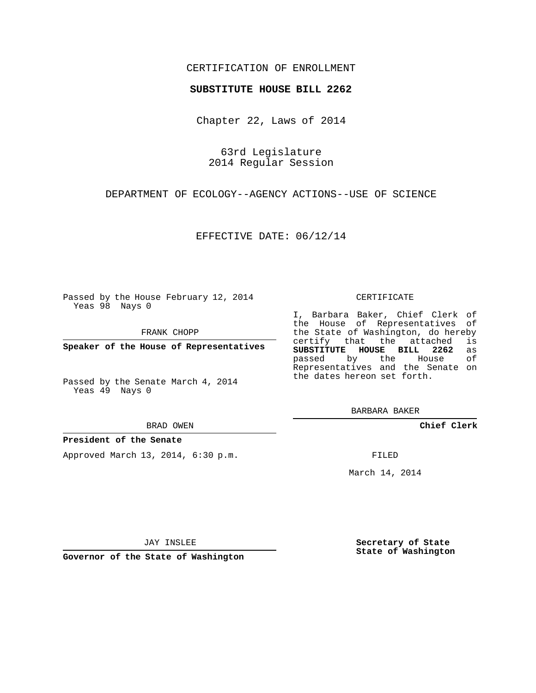### CERTIFICATION OF ENROLLMENT

### **SUBSTITUTE HOUSE BILL 2262**

Chapter 22, Laws of 2014

63rd Legislature 2014 Regular Session

DEPARTMENT OF ECOLOGY--AGENCY ACTIONS--USE OF SCIENCE

EFFECTIVE DATE: 06/12/14

Passed by the House February 12, 2014 Yeas 98 Nays 0

FRANK CHOPP

**Speaker of the House of Representatives**

Passed by the Senate March 4, 2014 Yeas 49 Nays 0

#### BRAD OWEN

### **President of the Senate**

Approved March 13, 2014, 6:30 p.m.

#### CERTIFICATE

I, Barbara Baker, Chief Clerk of the House of Representatives of the State of Washington, do hereby<br>certify that the attached is certify that the attached **SUBSTITUTE HOUSE BILL 2262** as passed by the House of Representatives and the Senate on the dates hereon set forth.

BARBARA BAKER

**Chief Clerk**

FILED

March 14, 2014

JAY INSLEE

**Governor of the State of Washington**

**Secretary of State State of Washington**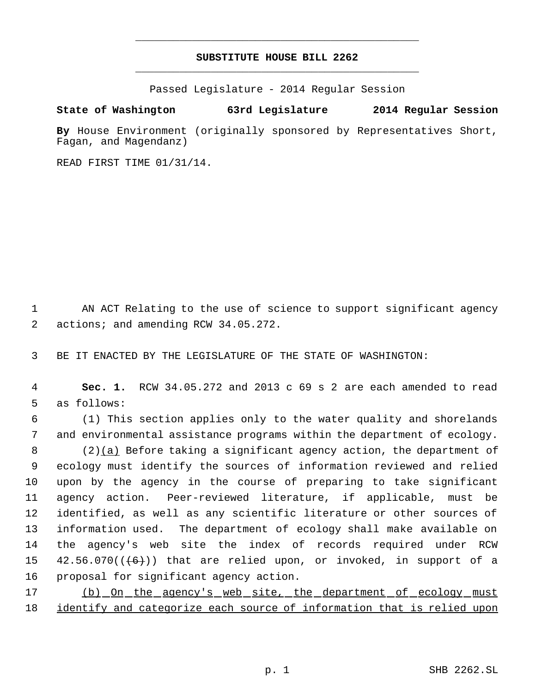# **SUBSTITUTE HOUSE BILL 2262** \_\_\_\_\_\_\_\_\_\_\_\_\_\_\_\_\_\_\_\_\_\_\_\_\_\_\_\_\_\_\_\_\_\_\_\_\_\_\_\_\_\_\_\_\_

\_\_\_\_\_\_\_\_\_\_\_\_\_\_\_\_\_\_\_\_\_\_\_\_\_\_\_\_\_\_\_\_\_\_\_\_\_\_\_\_\_\_\_\_\_

Passed Legislature - 2014 Regular Session

## **State of Washington 63rd Legislature 2014 Regular Session**

**By** House Environment (originally sponsored by Representatives Short, Fagan, and Magendanz)

READ FIRST TIME 01/31/14.

 1 AN ACT Relating to the use of science to support significant agency 2 actions; and amending RCW 34.05.272.

3 BE IT ENACTED BY THE LEGISLATURE OF THE STATE OF WASHINGTON:

 4 **Sec. 1.** RCW 34.05.272 and 2013 c 69 s 2 are each amended to read 5 as follows:

 6 (1) This section applies only to the water quality and shorelands 7 and environmental assistance programs within the department of ecology.

8 (2) $(a)$  Before taking a significant agency action, the department of ecology must identify the sources of information reviewed and relied upon by the agency in the course of preparing to take significant agency action. Peer-reviewed literature, if applicable, must be identified, as well as any scientific literature or other sources of information used. The department of ecology shall make available on the agency's web site the index of records required under RCW  $42.56.070((+6))$  that are relied upon, or invoked, in support of a proposal for significant agency action.

17 (b) On the agency's web site, the department of ecology must 18 identify and categorize each source of information that is relied upon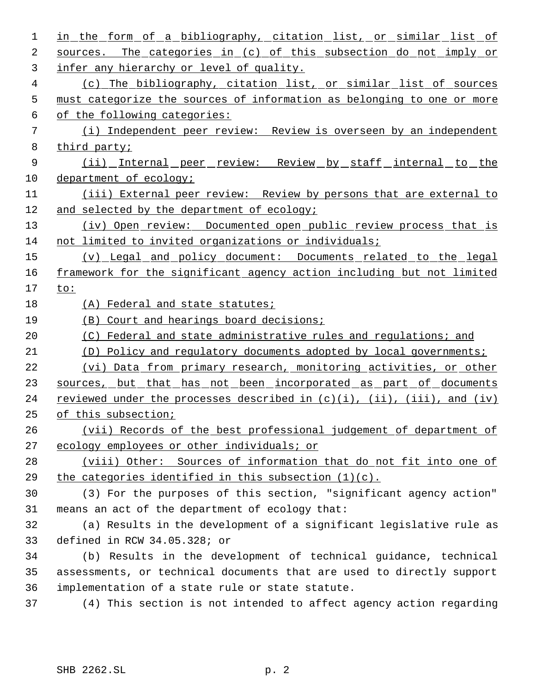| $\mathbf 1$ | in the form of a bibliography, citation list, or similar list of                   |
|-------------|------------------------------------------------------------------------------------|
| 2           | sources. The categories in (c) of this subsection do not imply or                  |
| 3           | infer any hierarchy or level of quality.                                           |
| 4           | (c) The bibliography, citation list, or similar list of sources                    |
| 5           | must categorize the sources of information as belonging to one or more             |
| 6           | of the following categories:                                                       |
| 7           | (i) Independent peer review: Review is overseen by an independent                  |
| 8           | third party;                                                                       |
| 9           | <u>(ii) Internal peer review: Review by staff internal to the</u>                  |
| 10          | department of ecology;                                                             |
| 11          | (iii) External peer review: Review by persons that are external to                 |
| 12          | and selected by the department of ecology;                                         |
| 13          | (iv) Open review: Documented open public review process that is                    |
| 14          | not limited to invited organizations or individuals;                               |
| 15          | (v) Legal and policy document: Documents related to the legal                      |
| 16          | framework for the significant agency action including but not limited              |
| 17          | to:                                                                                |
| 18          | (A) Federal and state statutes;                                                    |
| 19          | (B) Court and hearings board decisions;                                            |
|             |                                                                                    |
| 20          | Federal and state administrative rules and regulations; and<br>(C)                 |
| 21          | Policy and regulatory documents adopted by local governments;<br>(D)               |
| 22          | (vi) Data from primary research, monitoring activities, or other                   |
| 23          | sources, but that has not been incorporated as part of documents                   |
| 24          | reviewed under the processes described in $(c)(i)$ , $(ii)$ , $(iii)$ , and $(iv)$ |
| 25          | of this subsection;                                                                |
| 26          | (vii) Records of the best professional judgement of department of                  |
| 27          | ecology employees or other individuals; or                                         |
| 28          | (viii) Other: Sources of information that do not fit into one of                   |
| 29          | the categories identified in this subsection $(1)(c)$ .                            |
| 30          | (3) For the purposes of this section, "significant agency action"                  |
| 31          | means an act of the department of ecology that:                                    |
| 32          | (a) Results in the development of a significant legislative rule as                |
| 33          | defined in RCW 34.05.328; or                                                       |
| 34          | (b) Results in the development of technical guidance, technical                    |
| 35          | assessments, or technical documents that are used to directly support              |
| 36          | implementation of a state rule or state statute.                                   |
| 37          | (4) This section is not intended to affect agency action regarding                 |